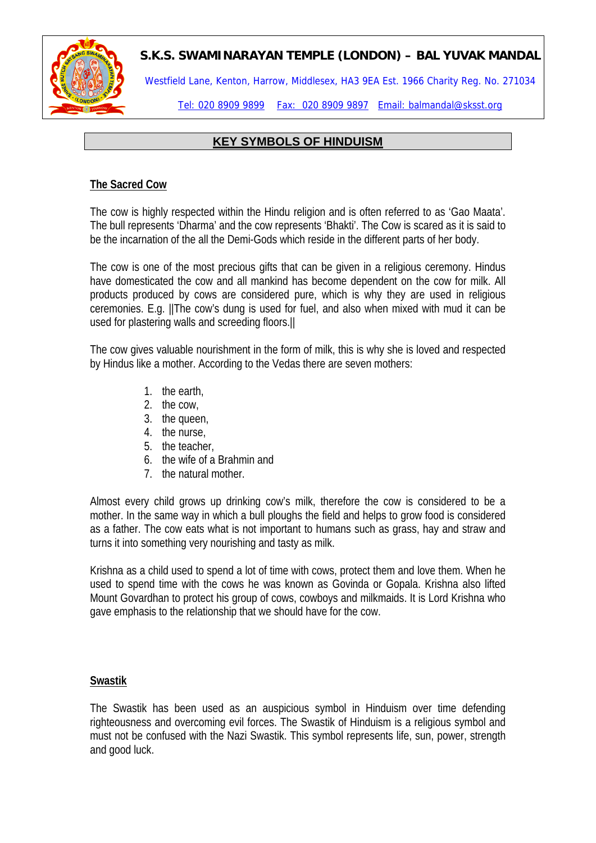

Westfield Lane, Kenton, Harrow, Middlesex, HA3 9EA Est. 1966 Charity Reg. No. 271034

Tel: 020 8909 9899 Fax: 020 8909 9897 Email: balmandal@sksst.org

## **KEY SYMBOLS OF HINDUISM**

### **The Sacred Cow**

The cow is highly respected within the Hindu religion and is often referred to as 'Gao Maata'. The bull represents 'Dharma' and the cow represents 'Bhakti'. The Cow is scared as it is said to be the incarnation of the all the Demi-Gods which reside in the different parts of her body.

The cow is one of the most precious gifts that can be given in a religious ceremony. Hindus have domesticated the cow and all mankind has become dependent on the cow for milk. All products produced by cows are considered pure, which is why they are used in religious ceremonies. E.g. ||The cow's dung is used for fuel, and also when mixed with mud it can be used for plastering walls and screeding floors.||

The cow gives valuable nourishment in the form of milk, this is why she is loved and respected by Hindus like a mother. According to the Vedas there are seven mothers:

- 1. the earth,
- 2. the cow,
- 3. the queen,
- 4. the nurse,
- 5. the teacher,
- 6. the wife of a Brahmin and
- 7. the natural mother.

Almost every child grows up drinking cow's milk, therefore the cow is considered to be a mother. In the same way in which a bull ploughs the field and helps to grow food is considered as a father. The cow eats what is not important to humans such as grass, hay and straw and turns it into something very nourishing and tasty as milk.

Krishna as a child used to spend a lot of time with cows, protect them and love them. When he used to spend time with the cows he was known as Govinda or Gopala. Krishna also lifted Mount Govardhan to protect his group of cows, cowboys and milkmaids. It is Lord Krishna who gave emphasis to the relationship that we should have for the cow.

### **Swastik**

The Swastik has been used as an auspicious symbol in Hinduism over time defending righteousness and overcoming evil forces. The Swastik of Hinduism is a religious symbol and must not be confused with the Nazi Swastik. This symbol represents life, sun, power, strength and good luck.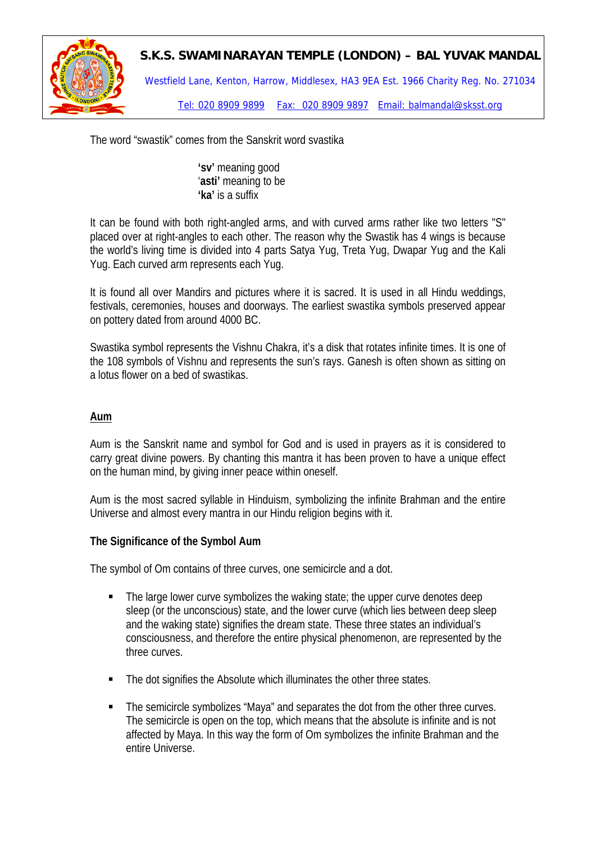

Westfield Lane, Kenton, Harrow, Middlesex, HA3 9EA Est. 1966 Charity Reg. No. 271034

Tel: 020 8909 9899 Fax: 020 8909 9897 Email: balmandal@sksst.org

The word "swastik" comes from the Sanskrit word svastika

**'sv'** meaning good '**asti'** meaning to be **'ka'** is a suffix

It can be found with both right-angled arms, and with curved arms rather like two letters "S" placed over at right-angles to each other. The reason why the Swastik has 4 wings is because the world's living time is divided into 4 parts Satya Yug, Treta Yug, Dwapar Yug and the Kali Yug. Each curved arm represents each Yug.

It is found all over Mandirs and pictures where it is sacred. It is used in all Hindu weddings, festivals, ceremonies, houses and doorways. The earliest swastika symbols preserved appear on pottery dated from around 4000 BC.

Swastika symbol represents the Vishnu Chakra, it's a disk that rotates infinite times. It is one of the 108 symbols of Vishnu and represents the sun's rays. [Ganesh](http://en.wikipedia.org/wiki/Ganesh) is often shown as sitting on a lotus flower on a bed of swastikas.

#### **Aum**

Aum is the Sanskrit name and symbol for God and is used in prayers as it is considered to carry great divine powers. By chanting this mantra it has been proven to have a unique effect on the human mind, by giving inner peace within oneself.

Aum is the most [sacred](http://en.wikipedia.org/wiki/Sacred) [syllable](http://en.wikipedia.org/wiki/Syllable) in [Hinduism,](http://en.wikipedia.org/wiki/Hinduism) symbolizing the infinite [Brahman](http://en.wikipedia.org/wiki/Brahman) and the entire [Universe](http://en.wikipedia.org/wiki/Universe) and almost every mantra in our Hindu religion begins with it.

#### **The Significance of the Symbol Aum**

The symbol of Om contains of three curves, one semicircle and a dot.

- The large lower curve symbolizes the waking state; the upper curve denotes deep sleep (or the unconscious) state, and the lower curve (which lies between deep sleep and the waking state) signifies the dream state. These three states an individual's consciousness, and therefore the entire physical phenomenon, are represented by the three curves.
- The dot signifies the Absolute which illuminates the other three states.
- The semicircle symbolizes "Maya" and separates the dot from the other three curves. The semicircle is open on the top, which means that the absolute is infinite and is not affected by Maya. In this way the form of Om symbolizes the infinite Brahman and the entire Universe.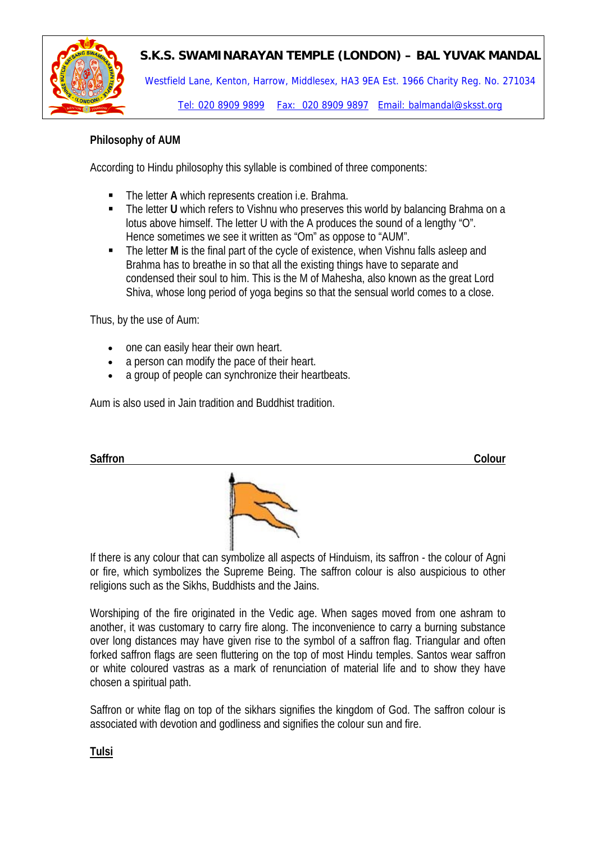

Westfield Lane, Kenton, Harrow, Middlesex, HA3 9EA Est. 1966 Charity Reg. No. 271034

Tel: 020 8909 9899 Fax: 020 8909 9897 Email: balmandal@sksst.org

### **Philosophy of AUM**

According to Hindu philosophy this syllable is combined of three components:

- The letter **A** which represents creation i.e. Brahma.
- The letter **U** which refers to [Vishnu](http://en.wikipedia.org/wiki/Vishnu) who preserves this world by balancing Brahma on a lotus above himself. The letter U with the A produces the sound of a lengthy "O". Hence sometimes we see it written as "Om" as oppose to "AUM".
- The letter M is the final part of the cycle of existence, when Vishnu falls asleep and Brahma has to breathe in so that all the existing things have to separate and condensed their soul to him. This is the M of Mahesha, also known as the great [Lord](http://en.wikipedia.org/wiki/Lord_Shiva)  [Shiva,](http://en.wikipedia.org/wiki/Lord_Shiva) whose long period of yoga begins so that the sensual world comes to a close.

Thus, by the use of Aum:

- one can easily hear their own heart.
- a person can modify the pace of their heart.
- a group of people can synchronize their heartbeats.

Aum is also used in Jain tradition and Buddhist tradition.



If there is any colour that can symbolize all aspects of Hinduism, its saffron - the colour of Agni or fire, which symbolizes the Supreme Being. The saffron colour is also auspicious to other religions such as the [Sikhs](http://hinduism.about.com/cs/sikhism/index.htm), [Buddhists](http://buddhism.about.com/) and the [Jains](http://hinduism.about.com/cs/jainism/index.htm).

Worshiping of the fire originated in the Vedic age. When sages moved from one ashram to another, it was customary to carry fire along. The inconvenience to carry a burning substance over long distances may have given rise to the symbol of a saffron flag. Triangular and often forked saffron flags are seen fluttering on the top of most Hindu temples. Santos wear saffron or white coloured vastras as a mark of renunciation of material life and to show they have chosen a spiritual path.

Saffron or white flag on top of the sikhars signifies the kingdom of God. The saffron colour is associated with devotion and godliness and signifies the colour sun and fire.

**Tulsi**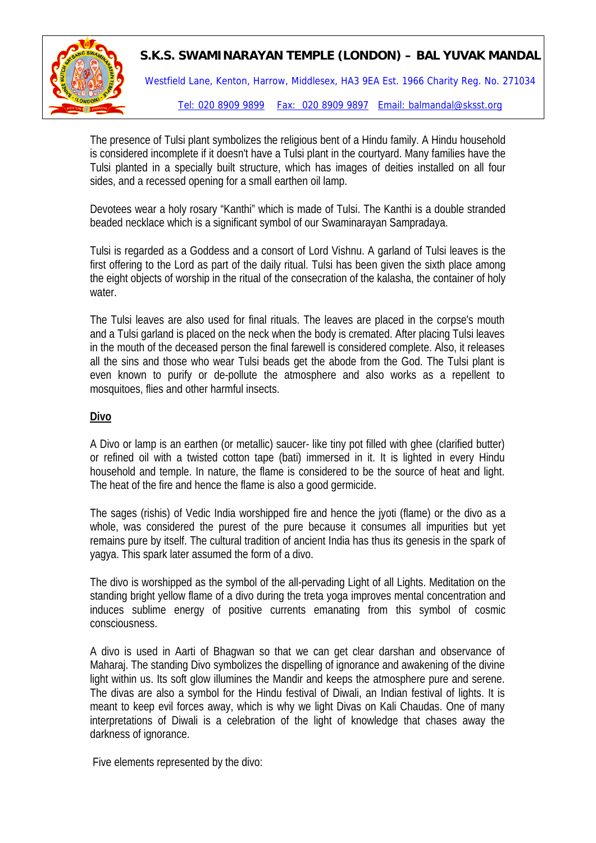

The presence of Tulsi plant symbolizes the religious bent of a Hindu family. A Hindu household is considered incomplete if it doesn't have a Tulsi plant in the courtyard. Many families have the Tulsi planted in a specially built structure, which has images of deities installed on all four sides, and a recessed opening for a small earthen oil lamp.

Devotees wear a holy rosary "Kanthi" which is made of Tulsi. The Kanthi is a double stranded beaded necklace which is a significant symbol of our Swaminarayan Sampradaya.

Tulsi is regarded as a Goddess and a consort of Lord Vishnu. A garland of Tulsi leaves is the first offering to the Lord as part of the daily ritual. Tulsi has been given the sixth place among the eight objects of worship in the ritual of the consecration of the kalasha, the container of holy water.

The Tulsi leaves are also used for final rituals. The leaves are placed in the corpse's mouth and a Tulsi garland is placed on the neck when the body is cremated. After placing Tulsi leaves in the mouth of the deceased person the final farewell is considered complete. Also, it releases all the sins and those who wear Tulsi beads get the abode from the God. The Tulsi plant is even known to purify or de-pollute the atmosphere and also works as a repellent to mosquitoes, flies and other harmful insects.

#### **Divo**

A Divo or lamp is an earthen (or metallic) saucer- like tiny pot filled with ghee (clarified butter) or refined oil with a twisted cotton tape (bati) immersed in it. It is lighted in every Hindu household and temple. In nature, the flame is considered to be the source of heat and light. The heat of the fire and hence the flame is also a good germicide.

The sages (rishis) of Vedic India worshipped fire and hence the jyoti (flame) or the divo as a whole, was considered the purest of the pure because it consumes all impurities but yet remains pure by itself. The cultural tradition of ancient India has thus its genesis in the spark of yagya. This spark later assumed the form of a divo.

The divo is worshipped as the symbol of the all-pervading Light of all Lights. Meditation on the standing bright yellow flame of a divo during the treta yoga improves mental concentration and induces sublime energy of positive currents emanating from this symbol of cosmic consciousness.

A divo is used in Aarti of Bhagwan so that we can get clear darshan and observance of Maharaj. The standing Divo symbolizes the dispelling of ignorance and awakening of the divine light within us. Its soft glow illumines the Mandir and keeps the atmosphere pure and serene. The divas are also a symbol for the Hindu festival of Diwali, an Indian festival of lights. It is meant to keep evil forces away, which is why we light Divas on Kali Chaudas. One of many interpretations of Diwali is a celebration of the light of knowledge that chases away the darkness of ignorance.

Five elements represented by the divo: